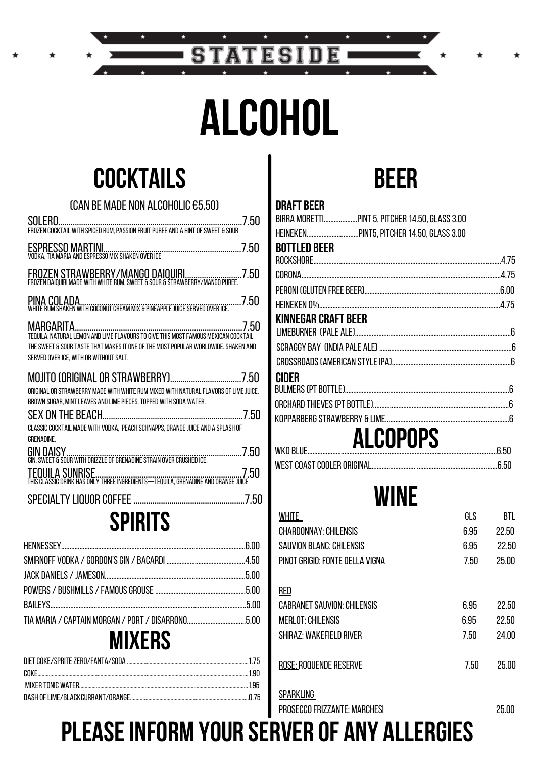# **ALCOHOL**

TATESI

D 15

S

## **COCKTAILS**

| <b>(CAN BE MADE NON ALCOHOLIC €5.50)</b>                                                                                                                  |
|-----------------------------------------------------------------------------------------------------------------------------------------------------------|
|                                                                                                                                                           |
| ESPRESSO MARTINI<br>VODKA, TIA MARIA AND ESPRESSO MIX SHAKEN OVER ICE TERMILLERED TERMILLER JANDESPRESSO MIX SHAKEN OVER TERMILLER                        |
|                                                                                                                                                           |
|                                                                                                                                                           |
| 7.50<br>THE SWEET & SOUR TASTE THAT MAKES IT ONE OF THE MOST POPULAR WORLDWIDE. SHAKEN AND<br>SERVED OVER ICE. WITH OR WITHOUT SALT.                      |
| ORIGINAL OR STRAWBERRY MADE WITH WHITE RUM MIXED WITH NATURAL FLAVORS OF LIME JUICE.<br>BROWN SUGAR, MINT LEAVES AND LIME PIECES, TOPPED WITH SODA WATER. |
| CLASSIC COCKTAIL MADE WITH VODKA, PEACH SCHNAPPS, ORANGE JUICE AND A SPLASH OF<br><b>GRENADINE.</b>                                                       |
|                                                                                                                                                           |
| TEQUILA SUNRISE.<br>THIS CLASSIC DRINK HAS ONLY THREE INGREDIENTS—TEQUILA, GRENADINE AND ORANGE JUICE                                                     |
|                                                                                                                                                           |
| SPIRITS                                                                                                                                                   |
|                                                                                                                                                           |
|                                                                                                                                                           |

| $\blacksquare$ |  |
|----------------|--|
|                |  |
|                |  |
|                |  |
|                |  |
|                |  |

### **MIXERS**



| ALCOPOPS                   |  |
|----------------------------|--|
|                            |  |
|                            |  |
| <b>CIDER</b>               |  |
|                            |  |
|                            |  |
|                            |  |
| <b>KINNEGAR CRAFT BEER</b> |  |
|                            |  |
|                            |  |
|                            |  |
| <b>BOTTLED BEER</b>        |  |
|                            |  |
|                            |  |
| <b>DRAFT BEER</b>          |  |

### **WINE**

| WHITE                              | GLS  | <b>BTL</b> |
|------------------------------------|------|------------|
| <b>CHARDONNAY: CHILENSIS</b>       | 6.95 | 22.50      |
| SAUVION BLANC: CHILENSIS           | 6.95 | 22.50      |
| PINOT GRIGIO: FONTE DELLA VIGNA    | 7.50 | 25.00      |
| <u>RED</u>                         |      |            |
| <b>CABRANET SAUVION: CHILENSIS</b> | 6.95 | 22.50      |
| MERLOT: CHILENSIS                  | 6.95 | 22.50      |
| <b>SHIRAZ: WAKEFIELD RIVER</b>     | 7.50 | 24.00      |
| ROSE: ROQUENDE RESERVE             | 7.50 | 25.00      |
| <b>SPARKLING</b>                   |      |            |

PROSECCO FRIZZANTE: MARCHESI

**WEST COAST COOLER ORIGINAL** 

25.00

.6.50

**PLEASE INFORM YOUR SERVER OF ANY ALLERGIES**